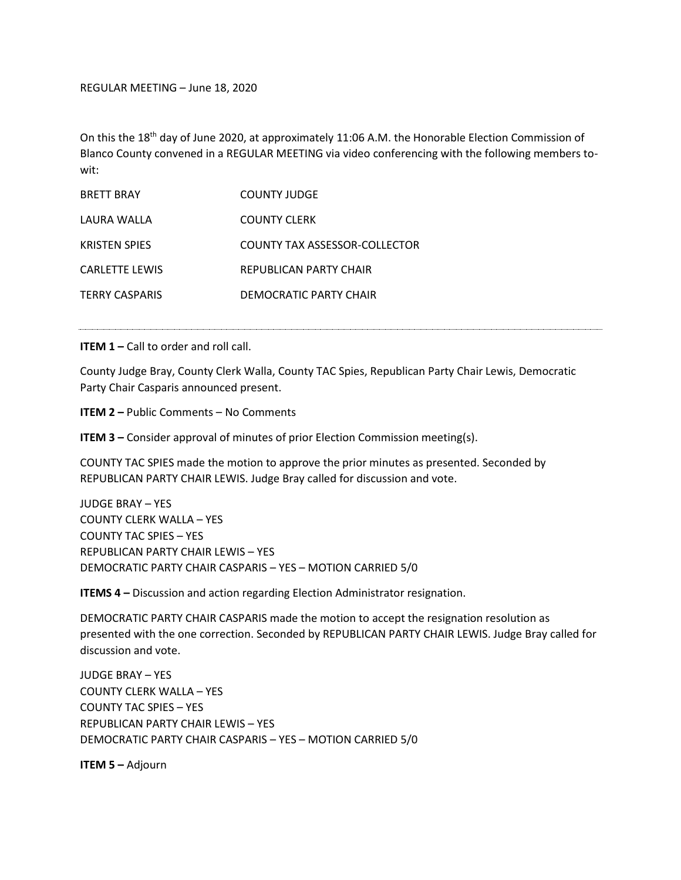REGULAR MEETING – June 18, 2020

On this the 18<sup>th</sup> day of June 2020, at approximately 11:06 A.M. the Honorable Election Commission of Blanco County convened in a REGULAR MEETING via video conferencing with the following members towit:

| <b>BRETT BRAY</b>     | COUNTY JUDGE                  |
|-----------------------|-------------------------------|
| LAURA WALLA           | <b>COUNTY CLERK</b>           |
| <b>KRISTEN SPIES</b>  | COUNTY TAX ASSESSOR-COLLECTOR |
| <b>CARLETTE LEWIS</b> | REPUBLICAN PARTY CHAIR        |
| <b>TERRY CASPARIS</b> | DEMOCRATIC PARTY CHAIR        |

**ITEM 1 – Call to order and roll call.** 

County Judge Bray, County Clerk Walla, County TAC Spies, Republican Party Chair Lewis, Democratic Party Chair Casparis announced present.

**ITEM 2 –** Public Comments – No Comments

**ITEM 3** – Consider approval of minutes of prior Election Commission meeting(s).

COUNTY TAC SPIES made the motion to approve the prior minutes as presented. Seconded by REPUBLICAN PARTY CHAIR LEWIS. Judge Bray called for discussion and vote.

JUDGE BRAY – YES COUNTY CLERK WALLA – YES COUNTY TAC SPIES – YES REPUBLICAN PARTY CHAIR LEWIS – YES DEMOCRATIC PARTY CHAIR CASPARIS – YES – MOTION CARRIED 5/0

**ITEMS 4 –** Discussion and action regarding Election Administrator resignation.

DEMOCRATIC PARTY CHAIR CASPARIS made the motion to accept the resignation resolution as presented with the one correction. Seconded by REPUBLICAN PARTY CHAIR LEWIS. Judge Bray called for discussion and vote.

JUDGE BRAY – YES COUNTY CLERK WALLA – YES COUNTY TAC SPIES – YES REPUBLICAN PARTY CHAIR LEWIS – YES DEMOCRATIC PARTY CHAIR CASPARIS – YES – MOTION CARRIED 5/0

**ITEM 5 –** Adjourn